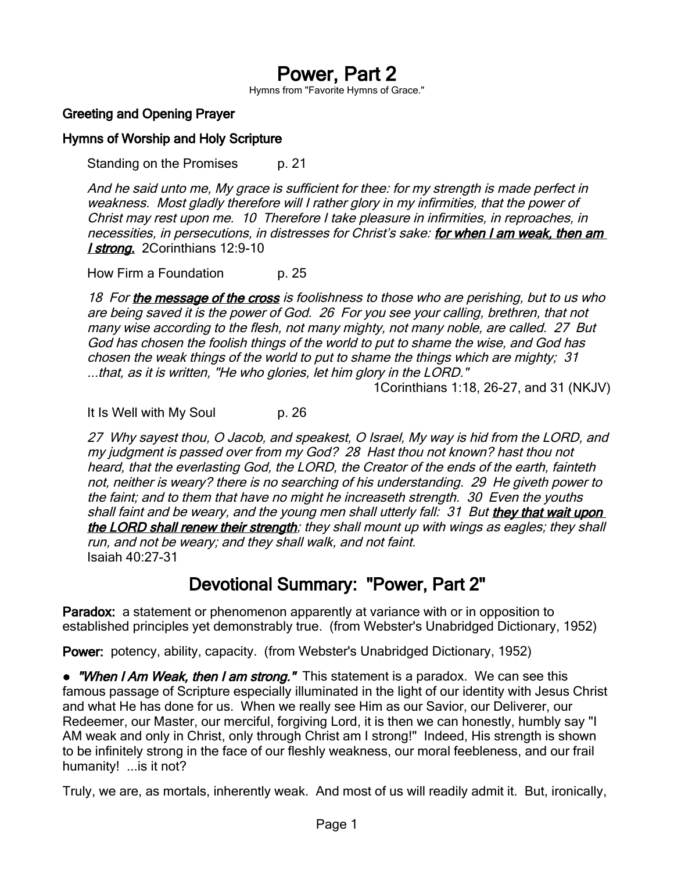# Power, Part 2

Hymns from "Favorite Hymns of Grace."

### Greeting and Opening Prayer

#### Hymns of Worship and Holy Scripture

Standing on the Promises p. 21

And he said unto me, My grace is sufficient for thee: for my strength is made perfect in weakness. Most gladly therefore will I rather glory in my infirmities, that the power of Christ may rest upon me. 10 Therefore I take pleasure in infirmities, in reproaches, in necessities, in persecutions, in distresses for Christ's sake: for when I am weak, then am **I strong.** 2Corinthians 12:9-10

How Firm a Foundation p. 25

18 For the message of the cross is foolishness to those who are perishing, but to us who are being saved it is the power of God. 26 For you see your calling, brethren, that not many wise according to the flesh, not many mighty, not many noble, are called. 27 But God has chosen the foolish things of the world to put to shame the wise, and God has chosen the weak things of the world to put to shame the things which are mighty; 31 ...that, as it is written, "He who glories, let him glory in the LORD."

1Corinthians 1:18, 26-27, and 31 (NKJV)

It Is Well with My Soul p. 26

27 Why sayest thou, O Jacob, and speakest, O Israel, My way is hid from the LORD, and my judgment is passed over from my God? 28 Hast thou not known? hast thou not heard, that the everlasting God, the LORD, the Creator of the ends of the earth, fainteth not, neither is weary? there is no searching of his understanding. 29 He giveth power to the faint; and to them that have no might he increaseth strength. 30 Even the youths shall faint and be weary, and the young men shall utterly fall: 31 But they that wait upon the LORD shall renew their strength; they shall mount up with wings as eagles; they shall run, and not be weary; and they shall walk, and not faint. Isaiah 40:27-31

## Devotional Summary: "Power, Part 2"

Paradox: a statement or phenomenon apparently at variance with or in opposition to established principles yet demonstrably true. (from Webster's Unabridged Dictionary, 1952)

Power: potency, ability, capacity. (from Webster's Unabridged Dictionary, 1952)

• *"When I Am Weak, then I am strong."* This statement is a paradox. We can see this famous passage of Scripture especially illuminated in the light of our identity with Jesus Christ and what He has done for us. When we really see Him as our Savior, our Deliverer, our Redeemer, our Master, our merciful, forgiving Lord, it is then we can honestly, humbly say "I AM weak and only in Christ, only through Christ am I strong!" Indeed, His strength is shown to be infinitely strong in the face of our fleshly weakness, our moral feebleness, and our frail humanity! ...is it not?

Truly, we are, as mortals, inherently weak. And most of us will readily admit it. But, ironically,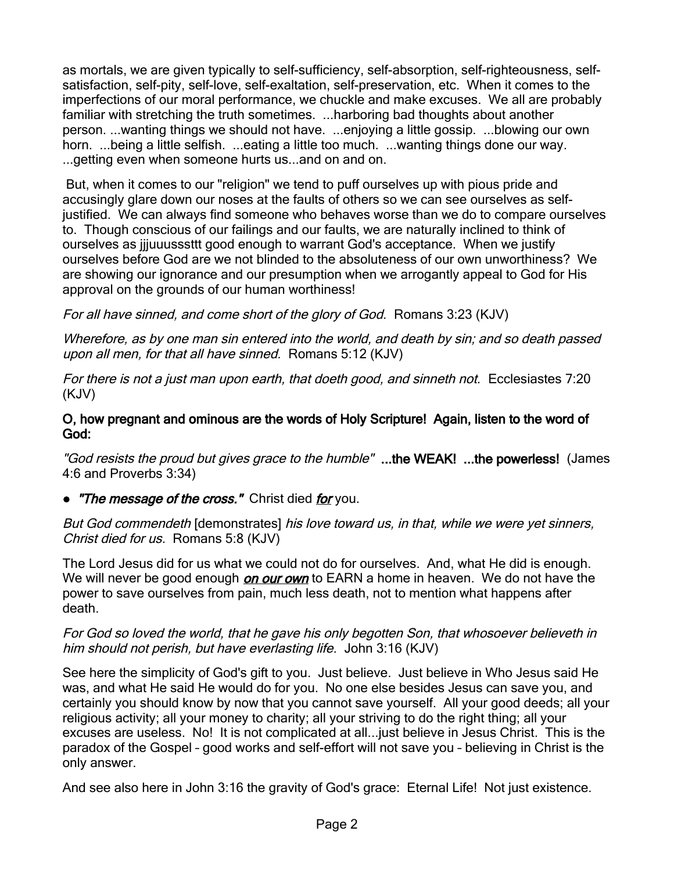as mortals, we are given typically to self-sufficiency, self-absorption, self-righteousness, selfsatisfaction, self-pity, self-love, self-exaltation, self-preservation, etc. When it comes to the imperfections of our moral performance, we chuckle and make excuses. We all are probably familiar with stretching the truth sometimes. ...harboring bad thoughts about another person. ...wanting things we should not have. ...enjoying a little gossip. ...blowing our own horn. ...being a little selfish. ...eating a little too much. ...wanting things done our way. ...getting even when someone hurts us...and on and on.

 But, when it comes to our "religion" we tend to puff ourselves up with pious pride and accusingly glare down our noses at the faults of others so we can see ourselves as selfjustified. We can always find someone who behaves worse than we do to compare ourselves to. Though conscious of our failings and our faults, we are naturally inclined to think of ourselves as jjjuuusssttt good enough to warrant God's acceptance. When we justify ourselves before God are we not blinded to the absoluteness of our own unworthiness? We are showing our ignorance and our presumption when we arrogantly appeal to God for His approval on the grounds of our human worthiness!

For all have sinned, and come short of the glory of God. Romans 3:23 (KJV)

Wherefore, as by one man sin entered into the world, and death by sin; and so death passed upon all men, for that all have sinned. Romans 5:12 (KJV)

For there is not a just man upon earth, that doeth good, and sinneth not. Ecclesiastes 7:20 (KJV)

#### O, how pregnant and ominous are the words of Holy Scripture! Again, listen to the word of God:

"God resists the proud but gives grace to the humble" ...the WEAK! ...the powerless! (James 4:6 and Proverbs 3:34)

• "The message of the cross." Christ died for you.

But God commendeth [demonstrates] his love toward us, in that, while we were yet sinners, Christ died for us. Romans 5:8 (KJV)

The Lord Jesus did for us what we could not do for ourselves. And, what He did is enough. We will never be good enough *on our own* to EARN a home in heaven. We do not have the power to save ourselves from pain, much less death, not to mention what happens after death.

#### For God so loved the world, that he gave his only begotten Son, that whosoever believeth in him should not perish, but have everlasting life. John 3:16 (KJV)

See here the simplicity of God's gift to you. Just believe. Just believe in Who Jesus said He was, and what He said He would do for you. No one else besides Jesus can save you, and certainly you should know by now that you cannot save yourself. All your good deeds; all your religious activity; all your money to charity; all your striving to do the right thing; all your excuses are useless. No! It is not complicated at all...just believe in Jesus Christ. This is the paradox of the Gospel – good works and self-effort will not save you – believing in Christ is the only answer.

And see also here in John 3:16 the gravity of God's grace: Eternal Life! Not just existence.